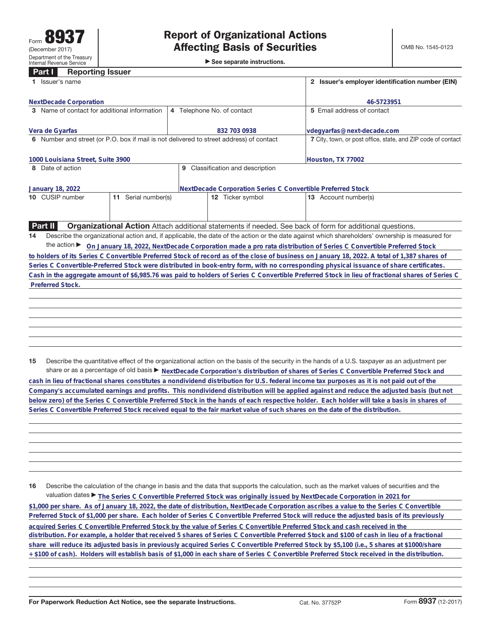►<br>► See separate instructions.

## **Part I Reporting Issuer**

| Issuer's name                                                                           | 2 Issuer's employer identification number (EIN)                                                                  |                                                                                                                                                 |  |  |  |
|-----------------------------------------------------------------------------------------|------------------------------------------------------------------------------------------------------------------|-------------------------------------------------------------------------------------------------------------------------------------------------|--|--|--|
|                                                                                         |                                                                                                                  |                                                                                                                                                 |  |  |  |
| <b>NextDecade Corporation</b>                                                           | 46-5723951                                                                                                       |                                                                                                                                                 |  |  |  |
| 3 Name of contact for additional information                                            | 4 Telephone No. of contact                                                                                       | 5 Email address of contact                                                                                                                      |  |  |  |
| Vera de Gyarfas                                                                         | 832 703 0938                                                                                                     | vdegyarfas@next-decade.com                                                                                                                      |  |  |  |
| 6 Number and street (or P.O. box if mail is not delivered to street address) of contact | 7 City, town, or post office, state, and ZIP code of contact                                                     |                                                                                                                                                 |  |  |  |
| 1000 Louisiana Street, Suite 3900                                                       | Houston, TX 77002                                                                                                |                                                                                                                                                 |  |  |  |
| 8 Date of action                                                                        | Classification and description<br>9                                                                              |                                                                                                                                                 |  |  |  |
|                                                                                         |                                                                                                                  |                                                                                                                                                 |  |  |  |
| January 18, 2022                                                                        | NextDecade Corporation Series C Convertible Preferred Stock                                                      |                                                                                                                                                 |  |  |  |
| 10 CUSIP number<br>11 Serial number(s)                                                  | 12 Ticker symbol                                                                                                 | 13 Account number(s)                                                                                                                            |  |  |  |
|                                                                                         |                                                                                                                  |                                                                                                                                                 |  |  |  |
|                                                                                         |                                                                                                                  |                                                                                                                                                 |  |  |  |
| Part II                                                                                 | <b>Organizational Action</b> Attach additional statements if needed. See back of form for additional questions.  |                                                                                                                                                 |  |  |  |
| 14                                                                                      |                                                                                                                  | Describe the organizational action and, if applicable, the date of the action or the date against which shareholders' ownership is measured for |  |  |  |
| the action $\blacktriangleright$                                                        | On January 18, 2022, NextDecade Corporation made a pro rata distribution of Series C Convertible Preferred Stock |                                                                                                                                                 |  |  |  |
|                                                                                         |                                                                                                                  | to holders of its Series C Convertible Preferred Stock of record as of the close of business on January 18, 2022. A total of 1,387 shares of    |  |  |  |
|                                                                                         |                                                                                                                  | Series C Convertible-Preferred Stock were distributed in book-entry form, with no corresponding physical issuance of share certificates.        |  |  |  |
|                                                                                         |                                                                                                                  | Cash in the aggregate amount of \$6,985.76 was paid to holders of Series C Convertible Preferred Stock in lieu of fractional shares of Series C |  |  |  |
| Preferred Stock.                                                                        |                                                                                                                  |                                                                                                                                                 |  |  |  |
|                                                                                         |                                                                                                                  |                                                                                                                                                 |  |  |  |
|                                                                                         |                                                                                                                  |                                                                                                                                                 |  |  |  |
|                                                                                         |                                                                                                                  |                                                                                                                                                 |  |  |  |
|                                                                                         |                                                                                                                  |                                                                                                                                                 |  |  |  |
|                                                                                         |                                                                                                                  |                                                                                                                                                 |  |  |  |
|                                                                                         |                                                                                                                  |                                                                                                                                                 |  |  |  |

**15** Describe the quantitative effect of the organizational action on the basis of the security in the hands of a U.S. taxpayer as an adjustment per share or as a percentage of old basis  $\blacktriangleright$  NextDecade Corporation's distribution of shares of Series C Convertible Preferred Stock and

**cash in lieu of fractional shares constitutes a nondividend distribution for U.S. federal income tax purposes as it is not paid out of the Company's accumulated earnings and profits. This nondividend distribution will be applied against and reduce the adjusted basis (but not below zero) of the Series C Convertible Preferred Stock in the hands of each respective holder. Each holder will take a basis in shares of Series C Convertible Preferred Stock received equal to the fair market value of such shares on the date of the distribution.**

**16** Describe the calculation of the change in basis and the data that supports the calculation, such as the market values of securities and the valuation dates ▶ The Series C Convertible Preferred Stock was originally issued by NextDecade Corporation in 2021 for

**\$1,000 per share. As of January 18, 2022, the date of distribution, NextDecade Corporation ascribes a value to the Series C Convertible Preferred Stock of \$1,000 per share. Each holder of Series C Convertible Preferred Stock will reduce the adjusted basis of its previously** acquired Series C Convertible Preferred Stock by the value of Series C Convertible Preferred Stock and cash received in the **distribution. For example, a holder that received 5 shares of Series C Convertible Preferred Stock and \$100 of cash in lieu of a fractional share will reduce its adjusted basis in previously acquired Series C Convertible Preferred Stock by \$5,100 (i.e., 5 shares at \$1000/share + \$100 of cash). Holders will establish basis of \$1,000 in each share of Series C Convertible Preferred Stock received in the distribution.**